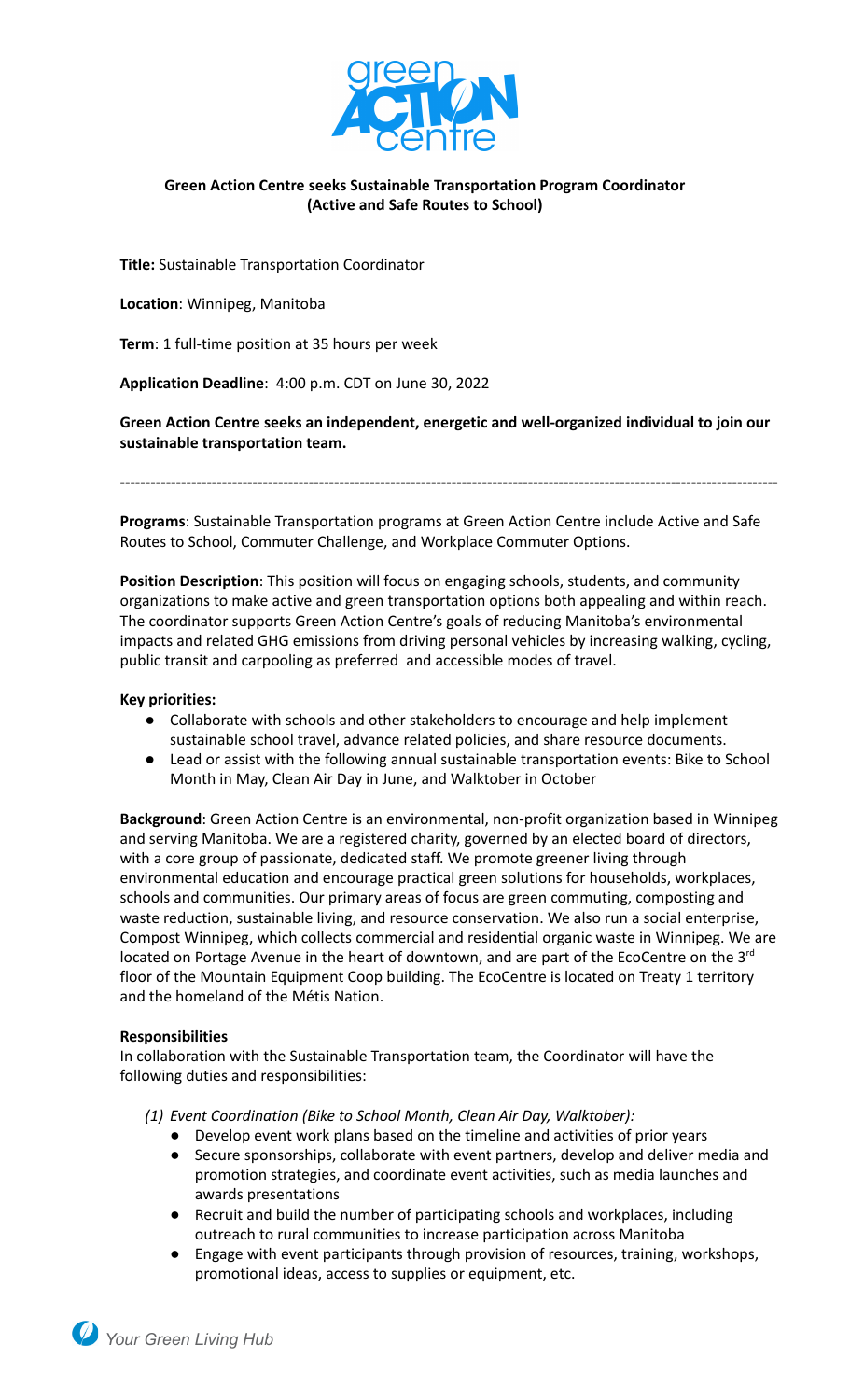

## **Green Action Centre seeks Sustainable Transportation Program Coordinator (Active and Safe Routes to School)**

**Title:** Sustainable Transportation Coordinator

**Location**: Winnipeg, Manitoba

**Term**: 1 full-time position at 35 hours per week

**Application Deadline**: 4:00 p.m. CDT on June 30, 2022

**Green Action Centre seeks an independent, energetic and well-organized individual to join our sustainable transportation team.**

**---------------------------------------------------------------------------------------------------------------------------------**

**Programs**: Sustainable Transportation programs at Green Action Centre include Active and Safe Routes to School, Commuter Challenge, and Workplace Commuter Options.

**Position Description**: This position will focus on engaging schools, students, and community organizations to make active and green transportation options both appealing and within reach. The coordinator supports Green Action Centre's goals of reducing Manitoba's environmental impacts and related GHG emissions from driving personal vehicles by increasing walking, cycling, public transit and carpooling as preferred and accessible modes of travel.

### **Key priorities:**

- Collaborate with schools and other stakeholders to encourage and help implement sustainable school travel, advance related policies, and share resource documents.
- Lead or assist with the following annual sustainable transportation events: Bike to School Month in May, Clean Air Day in June, and Walktober in October

**Background**: Green Action Centre is an environmental, non-profit organization based in Winnipeg and serving Manitoba. We are a registered charity, governed by an elected board of directors, with a core group of passionate, dedicated staff. We promote greener living through environmental education and encourage practical green solutions for [households](http://greenactioncentre.ca/live/at-home/), [workplaces](http://greenactioncentre.ca/live/at-work/), [schools](http://greenactioncentre.ca/live/at-school/) and [communities.](http://greenactioncentre.ca/live/in-your-community/) Our primary areas of focus are [green commuting](http://greenactioncentre.ca/live/getting-around/), [composting](http://greenactioncentre.ca/live/composting/) and [waste](http://greenactioncentre.ca/live/recycling/) reduction, [sustainable living,](http://greenactioncentre.ca/blog/) and resource conservation. We also run a social enterprise, Compost Winnipeg, which collects commercial and residential organic waste in Winnipeg. We are located on Portage Avenue in the heart of downtown, and are part of the EcoCentre on the 3<sup>rd</sup> floor of the Mountain Equipment Coop building. The EcoCentre is located on Treaty 1 territory and the homeland of the Métis Nation.

### **Responsibilities**

In collaboration with the Sustainable Transportation team, the Coordinator will have the following duties and responsibilities:

*(1) Event Coordination (Bike to School Month, Clean Air Day, Walktober):*

- Develop event work plans based on the timeline and activities of prior years
- Secure sponsorships, collaborate with event partners, develop and deliver media and promotion strategies, and coordinate event activities, such as media launches and awards presentations
- Recruit and build the number of participating schools and workplaces, including outreach to rural communities to increase participation across Manitoba
- Engage with event participants through provision of resources, training, workshops, promotional ideas, access to supplies or equipment, etc.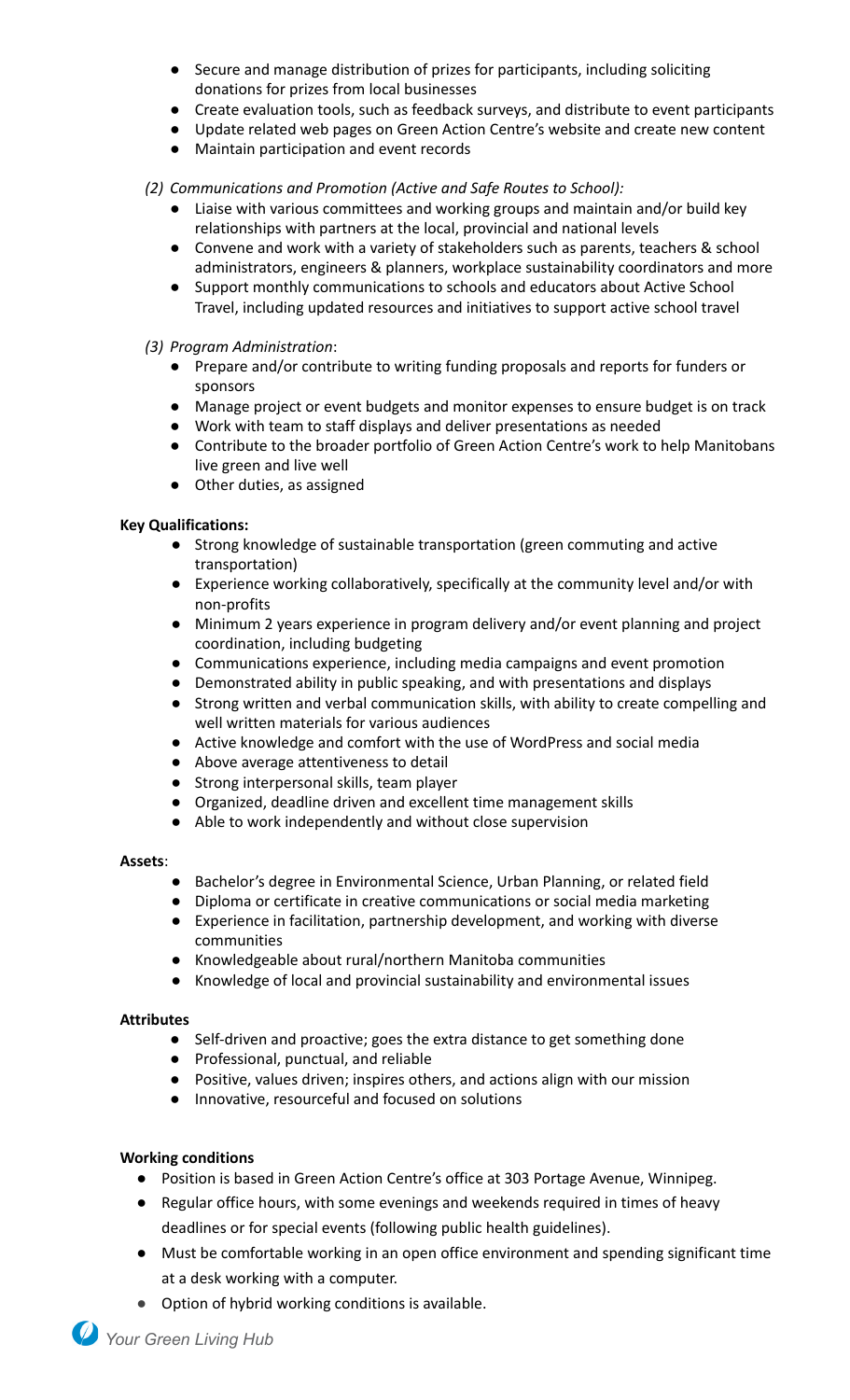- Secure and manage distribution of prizes for participants, including soliciting donations for prizes from local businesses
- Create evaluation tools, such as feedback surveys, and distribute to event participants
- Update related web pages on Green Action Centre's website and create new content
- Maintain participation and event records

# *(2) Communications and Promotion (Active and Safe Routes to School):*

- Liaise with various committees and working groups and maintain and/or build key relationships with partners at the local, provincial and national levels
- Convene and work with a variety of stakeholders such as parents, teachers & school administrators, engineers & planners, workplace sustainability coordinators and more
- Support monthly communications to schools and educators about Active School Travel, including updated resources and initiatives to support active school travel

## *(3) Program Administration*:

- Prepare and/or contribute to writing funding proposals and reports for funders or sponsors
- Manage project or event budgets and monitor expenses to ensure budget is on track
- Work with team to staff displays and deliver presentations as needed
- Contribute to the broader portfolio of Green Action Centre's work to help Manitobans live green and live well
- Other duties, as assigned

## **Key Qualifications:**

- Strong knowledge of sustainable transportation (green commuting and active transportation)
- Experience working collaboratively, specifically at the community level and/or with non-profits
- Minimum 2 years experience in program delivery and/or event planning and project coordination, including budgeting
- Communications experience, including media campaigns and event promotion
- Demonstrated ability in public speaking, and with presentations and displays
- Strong written and verbal communication skills, with ability to create compelling and well written materials for various audiences
- Active knowledge and comfort with the use of WordPress and social media
- Above average attentiveness to detail
- Strong interpersonal skills, team player
- Organized, deadline driven and excellent time management skills
- Able to work independently and without close supervision

### **Assets**:

- Bachelor's degree in Environmental Science, Urban Planning, or related field
- Diploma or certificate in creative communications or social media marketing
- Experience in facilitation, partnership development, and working with diverse communities
- Knowledgeable about rural/northern Manitoba communities
- Knowledge of local and provincial sustainability and environmental issues

### **Attributes**

- Self-driven and proactive; goes the extra distance to get something done
- Professional, punctual, and reliable
- Positive, values driven; inspires others, and actions align with our mission
- Innovative, resourceful and focused on solutions

### **Working conditions**

- Position is based in Green Action Centre's office at 303 Portage Avenue, Winnipeg.
- Regular office hours, with some evenings and weekends required in times of heavy deadlines or for special events (following public health guidelines).
- Must be comfortable working in an open office environment and spending significant time at a desk working with a computer.
- Option of hybrid working conditions is available.